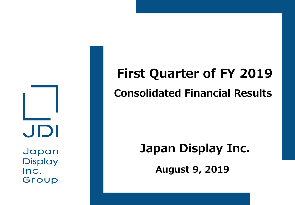JDI

Japan **Display** Inc. Group

# **First Quarter of FY 2019 Consolidated Financial Results**

# **Japan Display Inc.**

**August 9, 2019**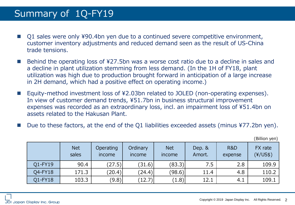### Summary of 1Q-FY19

- Q1 sales were only ¥90.4bn yen due to a continued severe competitive environment, customer inventory adjustments and reduced demand seen as the result of US-China trade tensions.
- Behind the operating loss of ¥27.5bn was a worse cost ratio due to a decline in sales and a decline in plant utilization stemming from less demand. (In the 1H of FY18, plant utilization was high due to production brought forward in anticipation of a large increase in 2H demand, which had a positive effect on operating income.)
- Equity-method investment loss of ¥2.03bn related to JOLED (non-operating expenses). In view of customer demand trends, ¥51.7bn in business structural improvement expenses was recorded as an extraordinary loss, incl. an impairment loss of ¥51.4bn on assets related to the Hakusan Plant.
- Due to these factors, at the end of the Q1 liabilities exceeded assets (minus ¥77.2bn yen).

|         | <b>Net</b><br>sales | Operating<br>income | Ordinary<br>income | <b>Net</b><br>income | Dep. &<br>Amort. | <b>R&amp;D</b><br>expense | FX rate<br>$(\frac{4}{US\$ ) |
|---------|---------------------|---------------------|--------------------|----------------------|------------------|---------------------------|------------------------------|
| Q1-FY19 | 90.4                | (27.5)              | (31.6)             | (83.3)               | 7.5              | 2.8                       | 109.9                        |
| Q4-FY18 | 171.3               | (20.4)              | (24.4)             | (98.6)               | 11.4             | 4.8                       | 110.2                        |
| Q1-FY18 | 103.3               | (9.8)               | (12.7)             | (1.8)                | 12.1             | 4.1                       | 109.1                        |

(Billion yen)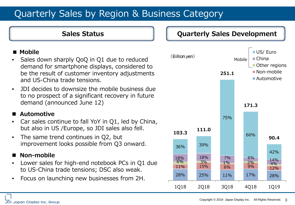## Quarterly Sales by Region & Business Category

#### **■ Mobile**

- Sales down sharply QoQ in Q1 due to reduced demand for smartphone displays, considered to be the result of customer inventory adjustments and US-China trade tensions.
- JDI decides to downsize the mobile business due to no prospect of a significant recovery in future demand (announced June 12)

#### **Automotive**

- Car sales continue to fall YoY in Q1, led by China, but also in US /Europe, so JDI sales also fell.
- The same trend continues in Q2, but improvement looks possible from Q3 onward.

#### **Non-mobile**

- Lower sales for high-end notebook PCs in Q1 due to US-China trade tensions; DSC also weak.
- Focus on launching new businesses from 2H.

#### **Sales Status Quarterly Sales Development**

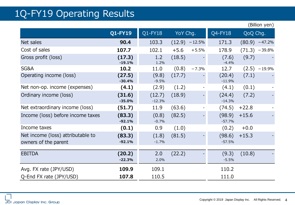### 1Q-FY19 Operating Results

|                                                           |                    |                    |                 |         |                    |          | $\sum_{i=1}^{n}$ |
|-----------------------------------------------------------|--------------------|--------------------|-----------------|---------|--------------------|----------|------------------|
|                                                           | <b>Q1-FY19</b>     | $Q1$ -FY18         | YoY Chg.        |         | Q4-FY18            | QoQ Chg. |                  |
| Net sales                                                 | 90.4               | 103.3              | $(12.9) -12.5%$ |         | 171.3              |          | $(80.9) -47.2%$  |
| Cost of sales                                             | 107.7              | 102.1              | $+5.6$          | $+5.5%$ | 178.9              |          | $(71.3) -39.8%$  |
| Gross profit (loss)                                       | (17.3)<br>$-19.1%$ | 1.2<br>1.2%        | (18.5)          |         | (7.6)<br>$-4.4%$   | (9.7)    |                  |
| SG&A                                                      | 10.2               | 11.0               | (0.8)           | $-7.3%$ | 12.7               |          | $(2.5) -19.9%$   |
| Operating income (loss)                                   | (27.5)<br>$-30.4%$ | (9.8)<br>$-9.5%$   | (17.7)          |         | (20.4)<br>$-11.9%$ | (7.1)    |                  |
| Net non-op. income (expenses)                             | (4.1)              | (2.9)              | (1.2)           |         | (4.1)              | (0.1)    |                  |
| Ordinary income (loss)                                    | (31.6)<br>$-35.0%$ | (12.7)<br>$-12.3%$ | (18.9)          |         | (24.4)<br>$-14.3%$ | (7.2)    |                  |
| Net extraordinary income (loss)                           | (51.7)             | 11.9               | (63.6)          |         | (74.5)             | $+22.8$  |                  |
| Income (loss) before income taxes                         | (83.3)<br>$-92.1%$ | (0.8)<br>$-0.7%$   | (82.5)          |         | (98.9)<br>$-57.7%$ | $+15.6$  |                  |
| Income taxes                                              | (0.1)              | 0.9                | (1.0)           |         | (0.2)              | $+0.0$   |                  |
| Net income (loss) attributable to<br>owners of the parent | (83.3)<br>$-92.1%$ | (1.8)<br>$-1.7%$   | (81.5)          |         | (98.6)<br>$-57.5%$ | $+15.3$  |                  |
| <b>EBITDA</b>                                             | (20.2)<br>$-22.3%$ | 2.0<br>2.0%        | (22.2)          |         | (9.3)<br>$-5.5%$   | (10.8)   |                  |
| Avg. FX rate (JPY/USD)                                    | 109.9              | 109.1              |                 |         | 110.2              |          |                  |
| Q-End FX rate (JPY/USD)                                   | 107.8              | 110.5              |                 |         | 111.0              |          |                  |

(Billion yen)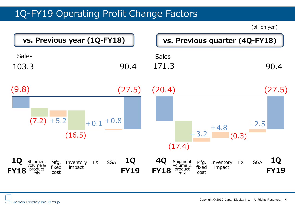### 1Q-FY19 Operating Profit Change Factors

(billion yen)

| vs. Previous year (1Q-FY18)                                                                                                     |                                        |                                                                    | vs. Previous quarter (4Q-FY18)                            |                                        |
|---------------------------------------------------------------------------------------------------------------------------------|----------------------------------------|--------------------------------------------------------------------|-----------------------------------------------------------|----------------------------------------|
| <b>Sales</b><br>103.3                                                                                                           | 90.4                                   | <b>Sales</b><br>171.3                                              |                                                           | 90.4                                   |
| (9.8)<br>$(7.2) + 5.2$<br>(16.5)                                                                                                | (27.5)<br>$+0.1 + 0.8$                 | (20.4)<br>(17.4)                                                   | $+4.8$<br>$+3.2$<br>(0.3)                                 | (27.5)<br>$+2.5$                       |
| <b>10</b><br>Shipment<br>volume &<br>Mfg.<br><b>FX</b><br>Inventory<br>fixed<br>impact<br>product<br><b>FY18</b><br>cost<br>mix | <b>1Q</b><br><b>SGA</b><br><b>FY19</b> | <b>40</b><br>Shipment<br>volume &<br>product<br><b>FY18</b><br>mix | Mfg.<br>Inventory<br><b>FX</b><br>fixed<br>impact<br>cost | <b>1Q</b><br><b>SGA</b><br><b>FY19</b> |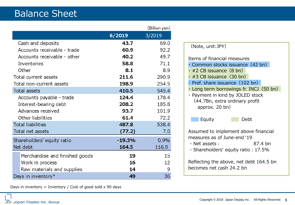|                                |          | (Billion yen) |
|--------------------------------|----------|---------------|
|                                | 6/2019   | 3/2019        |
| Cash and deposits              | 43.7     | 69.0          |
| Accounts receivable - trade    | 60.9     | 92.2          |
| Accounts receivable - other    | 40.2     | 49.7          |
| Inventories                    | 58.8     | 71.1          |
| Other                          | 8.1      | 8.9           |
| Total current assets           | 211.6    | 290.9         |
| Total non-current assets       | 198.9    | 254.5         |
| <b>Total assets</b>            | 410.5    | 545.4         |
| Accounts payable - trade       | 124.4    | 178.4         |
| Interest-bearing debt          | 208.2    | 185.8         |
| Advances received              | 93.7     | 101.9         |
| Other liabilities              | 61.4     | 72.2          |
| <b>Total liabilities</b>       | 487.8    | 538.4         |
| Total net assets               | (77.2)   | 7.0           |
| Shareholders' equity ratio     | $-19.3%$ | 0.9%          |
| Net debt                       | 164.5    | 116.9         |
| Merchandise and finished goods | 19       | 15            |
| Work in process                | 16       | 12            |
| Raw materials and supplies     | 14       | 9             |
| Days in inventory $*$          | 49       | 36            |

Days in inventory = Inventory / Cost of good sold  $x$  90 days

| (Note, unit:JPY)                                                                                                                                                                                                                                                                                                                       |  |  |
|----------------------------------------------------------------------------------------------------------------------------------------------------------------------------------------------------------------------------------------------------------------------------------------------------------------------------------------|--|--|
| Items of financial measures<br>$\cdot$ Common stocks issuance (42 bn)<br>$\cdot$ #2 CB issuance $(8 \text{ bn})$<br>$\cdot$ #3 CB issuance (30 bn)<br>$\cdot$ Pref. share issuance $(102$ bn)<br>$\cdot$ Long term borrowings fr. INCJ (50 bn)<br>· Payment in kind by JOLED stock<br>(44.7Bn, extra ordinary profit<br>approx. 20 bn) |  |  |
| Equity<br>Debt                                                                                                                                                                                                                                                                                                                         |  |  |
| Assumed to implement above financial<br>measures as of June-end '19<br>87.4 bn<br>- Net assets :<br>- Shareholders' equity ratio : 17.5%                                                                                                                                                                                               |  |  |
| Reflecting the above, net debt 164.5 bn<br>becomes net cash 24.2 bn                                                                                                                                                                                                                                                                    |  |  |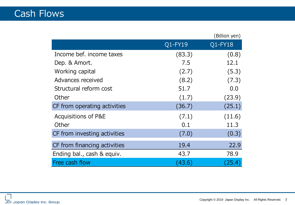|                                |         | (Billion yen) |
|--------------------------------|---------|---------------|
|                                | Q1-FY19 | Q1-FY18       |
| Income bef. income taxes       | (83.3)  | (0.8)         |
| Dep. & Amort.                  | 7.5     | 12.1          |
| Working capital                | (2.7)   | (5.3)         |
| Advances received              | (8.2)   | (7.3)         |
| Structural reform cost         | 51.7    | 0.0           |
| Other                          | (1.7)   | (23.9)        |
| CF from operating activities   | (36.7)  | (25.1)        |
| <b>Acquisitions of P&amp;E</b> | (7.1)   | (11.6)        |
| Other                          | 0.1     | 11.3          |
| CF from investing activities   | (7.0)   | (0.3)         |
| CF from financing activities   | 19.4    | 22.9          |
| Ending bal., cash & equiv.     | 43.7    | 78.9          |
| Free cash flow                 | (43.6)  | (25.4)        |

JDI Japan Display Inc. Group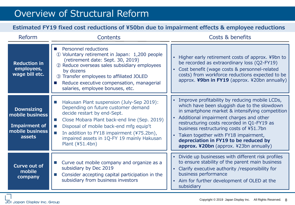### Overview of Structural Reform

#### **Estimated FY19 fixed cost reductions of ¥50bn due to impairment effects & employee reductions**

| Reform                                                                                    | Contents                                                                                                                                                                                                                                                                                                                                                           | Costs & benefits                                                                                                                                                                                                                                                                                                                                                                                                       |  |  |
|-------------------------------------------------------------------------------------------|--------------------------------------------------------------------------------------------------------------------------------------------------------------------------------------------------------------------------------------------------------------------------------------------------------------------------------------------------------------------|------------------------------------------------------------------------------------------------------------------------------------------------------------------------------------------------------------------------------------------------------------------------------------------------------------------------------------------------------------------------------------------------------------------------|--|--|
| <b>Reduction in</b><br>employees,<br>wage bill etc.                                       | <b>Personnel reductions</b><br><b>The Common</b><br>1,200 people (1) Voluntary retirement in Japan: 1,200 people<br>(retirement date: Sept. 30, 2019)<br>2 Reduce overseas sales subsidiary employees<br>by dozens<br>3 Transfer employees to affiliated JOLED<br>Reduce executive compensation, managerial<br>salaries, employee bonuses, etc.                    | Higher early retirement costs of approx. ¥9bn to<br>be recorded as extraordinary loss (Q2-FY19)<br>• Cost benefit (wage costs & personnel-related<br>costs) from workforce reductions expected to be<br>approx. ¥9bn in FY19 (approx. ¥20bn annually)                                                                                                                                                                  |  |  |
| <b>Downsizing</b><br>mobile business<br><b>Impairment of</b><br>mobile business<br>assets | Hakusan Plant suspension (July-Sep 2019):<br>$\mathbb{R}^n$<br>Depending on future customer demand<br>decide restart by end-Sept.<br>Close Mobara Plant back-end line (Sep. 2019)<br>m.<br>Disposal of mobile back-end mfg equip't<br>$\mathbb{R}^n$<br>In addition to FY18 impairment (¥75.2bn),<br>impaired assets in 1Q-FY 19 mainly Hakusan<br>Plant (¥51.4bn) | • Improve profitability by reducing mobile LCDs,<br>which have been sluggish due to the slowdown<br>in smartphone market & intensifying competition<br>• Additional impairment charges and other<br>restructuring costs recorded in Q1-FY19 as<br>business restructuring costs of ¥51.7bn<br>• Taken together with FY18 impairment,<br>depreciation in FY19 to be reduced by<br>approx. ¥20bn (approx. ¥23bn annually) |  |  |
| <b>Curve out of</b><br>mobile<br>company                                                  | Curve out mobile company and organize as a<br>subsidiary by Dec 2019<br>Consider accepting capital participation in the<br>subsidiary from business investors                                                                                                                                                                                                      | Divide up businesses with different risk profiles<br>$\bullet$<br>to ensure stability of the parent main business<br>• Clarify executive authority / responsibility for<br>business performance<br>Aim for further development of OLED at the<br>$\bullet$<br>subsidiary                                                                                                                                               |  |  |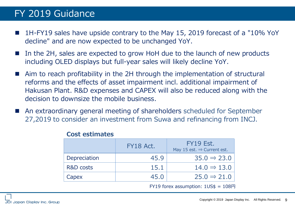### FY 2019 Guidance

- 1H-FY19 sales have upside contrary to the May 15, 2019 forecast of a "10% YoY decline" and are now expected to be unchanged YoY.
- In the 2H, sales are expected to grow HoH due to the launch of new products including OLED displays but full-year sales will likely decline YoY.
- Aim to reach profitability in the 2H through the implementation of structural reforms and the effects of asset impairment incl. additional impairment of Hakusan Plant. R&D expenses and CAPEX will also be reduced along with the decision to downsize the mobile business.
- An extraordinary general meeting of shareholders scheduled for September 27,2019 to consider an investment from Suwa and refinancing from INCJ.

|              | FY18 Act. | FY19 Est.<br>May 15 est. $\Rightarrow$ Current est. |
|--------------|-----------|-----------------------------------------------------|
| Depreciation | 45.9      | $35.0 \Rightarrow 23.0$                             |
| R&D costs    | 15.1      | $14.0 \Rightarrow 13.0$                             |
| Capex        | 45.0      | $25.0 \Rightarrow 21.0$                             |

#### **Cost estimates**

FY19 forex assumption:  $1US\$  =  $108\overline{H}$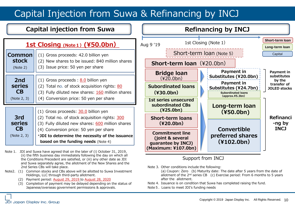## Capital Injection from Suwa & Refinancing by INCJ

#### **Capital injection from Suwa**

### **1st Closing (Note1)(¥50.0bn)**

| <b>Common</b>                                    | (1) Gross proceeds: 42.0 billion yen                                                                                                                                                                                                    |
|--------------------------------------------------|-----------------------------------------------------------------------------------------------------------------------------------------------------------------------------------------------------------------------------------------|
| <b>stock</b>                                     | (2) New shares to be issued: 840 million shares                                                                                                                                                                                         |
| (Note 2)                                         | (3) Issue price: 50 yen per share                                                                                                                                                                                                       |
| 2nd                                              | (1) Gross proceeds : $8.0$ billion yen                                                                                                                                                                                                  |
| series                                           | (2) Total no. of stock acquisition rights: 80                                                                                                                                                                                           |
| СB                                               | (3) Fully diluted new shares: 160 million shares                                                                                                                                                                                        |
| (Note 2, 3)                                      | (4) Conversion price: 50 yen per share                                                                                                                                                                                                  |
| 3rd<br><b>series</b><br><b>CB</b><br>(Note 2, 3) | (1) Gross proceeds: 30.0 billion yen<br>(2) Total no. of stock acquisition rights: 300<br>(3) Fully diluted new shares: 600 million shares<br>(4) Conversion price: 50 yen per share<br>*JDI to determine the necessity of the issuance |

\***JDI to determine the necessity of the issuance based on the funding needs** (Note 4)

Note 1. JDI and Suwa have agreed that on the later of (i) October 31, 2019, (ii) the fifth business day immediately following the day on which all the Conditions Precedent are satisfied, or (iii) any other date as JDI and Suwa separately agree, the allotment of the New Shares and the 2nd Series CBs will take place.

- Note2. (1) Common stocks and CBs above will be allotted to Suwa Investment Holdings, LLC through third-party allotment.
	- (2) Payment period: August 29, 2019 to August 28, 2020
	- (3) Completion of payment may be delayed depending on the status of Japanese/overseas government permissions & approvals.



#### Support from INCJ

- Note 3. Other conditions include the following:
	- (a) Coupon: Zero (b) Maturity date: The date after 5 years from the date of allotment of the  $2<sup>nd</sup>$  series CB  $\cdot$  (c) Exercise period: From 6 months to 5 years after the allotment.
- Note 4. Issuance is on condition that Suwa has completed raising the fund.
- Note5. Loans to meet JDI's funding needs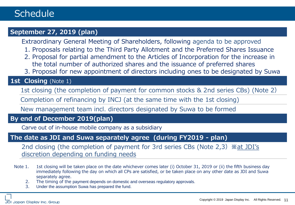#### **September 27, 2019 (plan)**

Extraordinary General Meeting of Shareholders, following agenda to be approved

- 1. Proposals relating to the Third Party Allotment and the Preferred Shares Issuance
- 2. Proposal for partial amendment to the Articles of Incorporation for the increase in the total number of authorized shares and the issuance of preferred shares
- 3. Proposal for new appointment of directors including ones to be designated by Suwa

#### 1st **Closing** (Note 1)

1st closing (the completion of payment for common stocks & 2nd series CBs) (Note 2)

Completion of refinancing by INCJ (at the same time with the 1st closing)

New management team incl. directors designated by Suwa to be formed

#### **By end of December 2019(plan)**

Carve out of in-house mobile company as a subsidiary

#### **The date as JDI and Suwa separately agree (during FY2019 - plan)**

2nd closing (the completion of payment for 3rd series CBs (Note 2,3)**※**at JDI's discretion depending on funding needs

- Note 1. 1st closing will be taken place on the date whichever comes later (i) October 31, 2019 or (ii) the fifth business day immediately following the day on which all CPs are satisfied, or be taken place on any other date as JDI and Suwa separately agree.
	- 2. The timing of the payment depends on domestic and overseas regulatory approvals.
	- 3. Under the assumption Suwa has prepared the fund.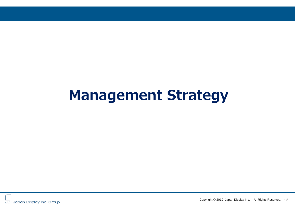# **Management Strategy**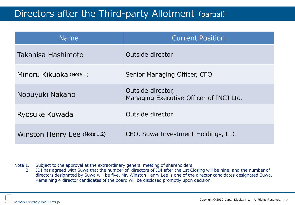### Directors after the Third-party Allotment (partial)

| <b>Name</b>                  | <b>Current Position</b>                                      |  |
|------------------------------|--------------------------------------------------------------|--|
| Takahisa Hashimoto           | Outside director                                             |  |
| Minoru Kikuoka (Note 1)      | Senior Managing Officer, CFO                                 |  |
| Nobuyuki Nakano              | Outside director,<br>Managing Executive Officer of INCJ Ltd. |  |
| Ryosuke Kuwada               | Outside director                                             |  |
| Winston Henry Lee (Note 1,2) | CEO, Suwa Investment Holdings, LLC                           |  |

Note 1. Subject to the approval at the extraordinary general meeting of shareholders

2. JDI has agreed with Suwa that the number of directors of JDI after the 1st Closing will be nine, and the number of directors designated by Suwa will be five. Mr. Winston Henry Lee is one of the director candidates designated Suwa. Remaining 4 director candidates of the board will be disclosed promptly upon decision.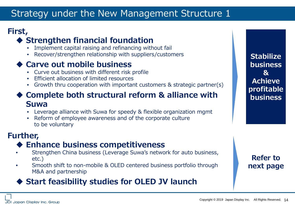### Strategy under the New Management Structure 1

### **First,**

### **Strengthen financial foundation**

- Implement capital raising and refinancing without fail
- Recover/strengthen relationship with suppliers/customers

### **Carve out mobile business**

- Curve out business with different risk profile
- Efficient allocation of limited resources
- Growth thru cooperation with important customers & strategic partner(s)

### **Complete both structural reform & alliance with Suwa**

- Leverage alliance with Suwa for speedy & flexible organization mgmt
- Reform of employee awareness and of the corporate culture to be voluntary

### **Further,**

### **Enhance business competitiveness**

- Strengthen China business (Leverage Suwa's network for auto business, etc.)
- Smooth shift to non-mobile & OLED centered business portfolio through M&A and partnership

### **Start feasibility studies for OLED JV launch**

**Stabilize business & Achieve profitable business**

### **Refer to next page**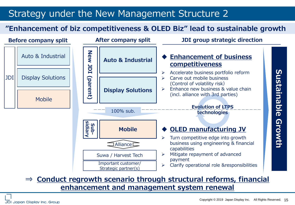### Strategy under the New Management Structure 2

### **"Enhancement of biz competitiveness & OLED Biz" lead to sustainable growth**



**⇒ Conduct regrowth scenario through structural reforms, financial enhancement and management system renewal**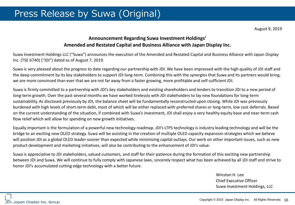#### **Announcement Regarding Suwa Investment Holdings' Amended and Restated Capital and Business Alliance with Japan Display Inc.**

Suwa Investment Holdings LLC ("Suwa") announces the execution of the Amended and Restated Capital and Business Alliance with Japan Display Inc. (TSE 6740) ("JDI") dated as of August 7, 2019.

Suwa is very pleased about the progress to date regarding our partnership with JDI. We have been impressed with the high quality of JDI staff and the deep commitment by its key stakeholders to support JDI long-term. Combining this with the synergies that Suwa and its partners would bring, we are more convinced than ever that we are not far away from a faster growing, more profitable and self-sufficient JDI.

Suwa is firmly committed to a partnership with JDI's key stakeholders and existing shareholders and lenders to transition JDI to a new period of long-term growth. Over the past several months we have worked tirelessly with JDI stakeholders to lay new foundations for long-term sustainability. As disclosed previously by JDI, the balance sheet will be fundamentally reconstructed upon closing. While JDI was previously burdened with high levels of short-term debt, most of which will be either replaced with preferred shares or long-term, low cost deferrals. Based on the current understanding of the situation, if combined with Suwa's investment, JDI shall enjoy a very healthy equity base and near-term cash flow relief which will allow for spending on new growth initiatives.

Equally important is the formulation of a powerful new technology roadmap. JDI's LTPS technology is industry leading technology and will be the bridge to an exciting new OLED strategy. Suwa will be assisting in the creation of multiple OLED capacity expansion strategies which we believe will position JDI as a global OLED leader sooner than expected while minimizing capital outlays. Our work on other important issues, such as new product development and marketing initiatives, will also be contributing to the enhancement of JDI's value.

Suwa is appreciative to JDI stakeholders, valued customers, and staff for their patience during the formation of this exciting new partnership between JDI and Suwa. We will continue to fully comply with Japanese laws, sincerely respect what has been achieved by all JDI staff and strive to honor JDI's accumulated cutting edge technology with a better future.

> Winston H. Lee Chief Executive Officer Suwa Investment Holdings, LLC